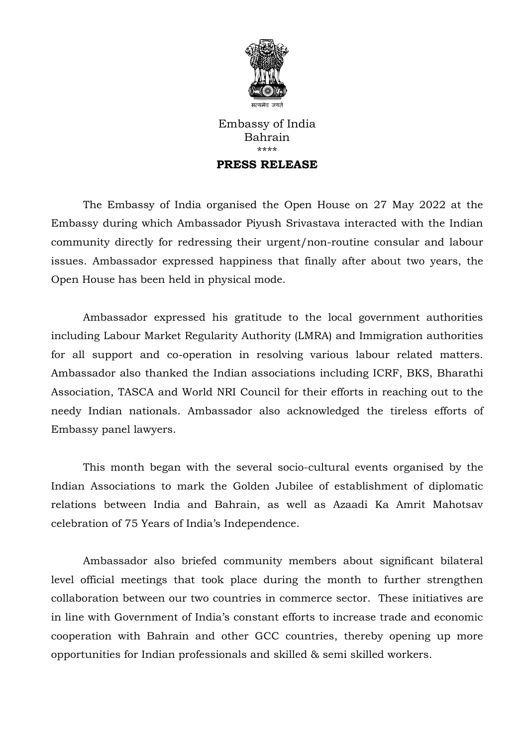

Embassy of India Bahrain \*\*\*\* **PRESS RELEASE**

## The Embassy of India organised the Open House on 27 May 2022 at the Embassy during which Ambassador Piyush Srivastava interacted with the Indian community directly for redressing their urgent/non-routine consular and labour issues. Ambassador expressed happiness that finally after about two years, the Open House has been held in physical mode.

Ambassador expressed his gratitude to the local government authorities including Labour Market Regularity Authority (LMRA) and Immigration authorities for all support and co-operation in resolving various labour related matters. Ambassador also thanked the Indian associations including ICRF, BKS, Bharathi Association, TASCA and World NRI Council for their efforts in reaching out to the needy Indian nationals. Ambassador also acknowledged the tireless efforts of Embassy panel lawyers.

This month began with the several socio-cultural events organised by the Indian Associations to mark the Golden Jubilee of establishment of diplomatic relations between India and Bahrain, as well as Azaadi Ka Amrit Mahotsav celebration of 75 Years of India's Independence.

Ambassador also briefed community members about significant bilateral level official meetings that took place during the month to further strengthen collaboration between our two countries in commerce sector. These initiatives are in line with Government of India's constant efforts to increase trade and economic cooperation with Bahrain and other GCC countries, thereby opening up more opportunities for Indian professionals and skilled & semi skilled workers.